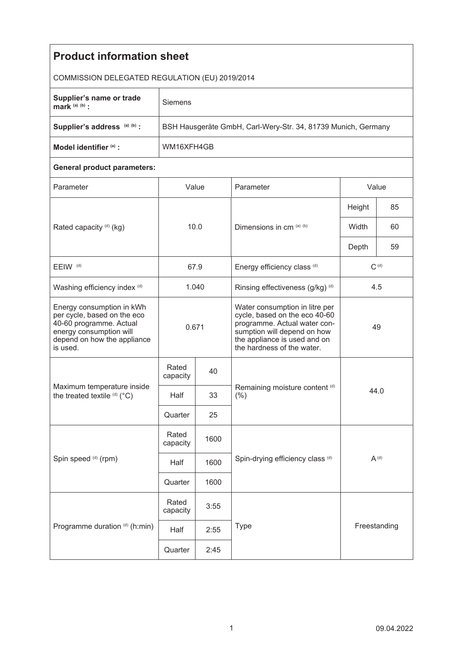| <b>Product information sheet</b>                                                                                                                          |                                                               |                     |                                                                                                                                                                                              |              |    |  |  |  |
|-----------------------------------------------------------------------------------------------------------------------------------------------------------|---------------------------------------------------------------|---------------------|----------------------------------------------------------------------------------------------------------------------------------------------------------------------------------------------|--------------|----|--|--|--|
| COMMISSION DELEGATED REGULATION (EU) 2019/2014                                                                                                            |                                                               |                     |                                                                                                                                                                                              |              |    |  |  |  |
| Supplier's name or trade<br>mark $(a)$ $(b)$ :                                                                                                            | Siemens                                                       |                     |                                                                                                                                                                                              |              |    |  |  |  |
| Supplier's address (a) (b) :                                                                                                                              | BSH Hausgeräte GmbH, Carl-Wery-Str. 34, 81739 Munich, Germany |                     |                                                                                                                                                                                              |              |    |  |  |  |
| Model identifier (a) :                                                                                                                                    | WM16XFH4GB                                                    |                     |                                                                                                                                                                                              |              |    |  |  |  |
| <b>General product parameters:</b>                                                                                                                        |                                                               |                     |                                                                                                                                                                                              |              |    |  |  |  |
| Parameter                                                                                                                                                 | Value                                                         |                     | Parameter                                                                                                                                                                                    | Value        |    |  |  |  |
| Rated capacity (d) (kg)                                                                                                                                   | 10.0                                                          |                     | Dimensions in cm (a) (b)                                                                                                                                                                     | Height       | 85 |  |  |  |
|                                                                                                                                                           |                                                               |                     |                                                                                                                                                                                              | Width        | 60 |  |  |  |
|                                                                                                                                                           |                                                               |                     |                                                                                                                                                                                              | Depth        | 59 |  |  |  |
| EEIW <sup>(d)</sup>                                                                                                                                       | 67.9                                                          |                     | Energy efficiency class (d)                                                                                                                                                                  | $C^{(d)}$    |    |  |  |  |
| Washing efficiency index (d)                                                                                                                              | 1.040                                                         |                     | Rinsing effectiveness (g/kg) (d)                                                                                                                                                             | 4.5          |    |  |  |  |
| Energy consumption in kWh<br>per cycle, based on the eco<br>40-60 programme. Actual<br>energy consumption will<br>depend on how the appliance<br>is used. | 0.671                                                         |                     | Water consumption in litre per<br>cycle, based on the eco 40-60<br>programme. Actual water con-<br>sumption will depend on how<br>the appliance is used and on<br>the hardness of the water. | 49           |    |  |  |  |
| Maximum temperature inside<br>the treated textile (d) (°C)                                                                                                | Rated<br>capacity                                             | 40                  | Remaining moisture content (d)<br>44.0<br>$(\% )$                                                                                                                                            |              |    |  |  |  |
|                                                                                                                                                           | Half                                                          | 33                  |                                                                                                                                                                                              |              |    |  |  |  |
|                                                                                                                                                           | Quarter                                                       | 25                  |                                                                                                                                                                                              |              |    |  |  |  |
| Spin speed (d) (rpm)                                                                                                                                      | Rated<br>capacity                                             | 1600                |                                                                                                                                                                                              |              |    |  |  |  |
|                                                                                                                                                           | Half                                                          | 1600                | Spin-drying efficiency class (d)                                                                                                                                                             | $A^{(d)}$    |    |  |  |  |
|                                                                                                                                                           | Quarter                                                       | 1600                |                                                                                                                                                                                              |              |    |  |  |  |
| Programme duration (d) (h:min)                                                                                                                            | Rated<br>capacity                                             | 3:55                |                                                                                                                                                                                              |              |    |  |  |  |
|                                                                                                                                                           | Half                                                          | <b>Type</b><br>2:55 |                                                                                                                                                                                              | Freestanding |    |  |  |  |
|                                                                                                                                                           | Quarter                                                       | 2:45                |                                                                                                                                                                                              |              |    |  |  |  |